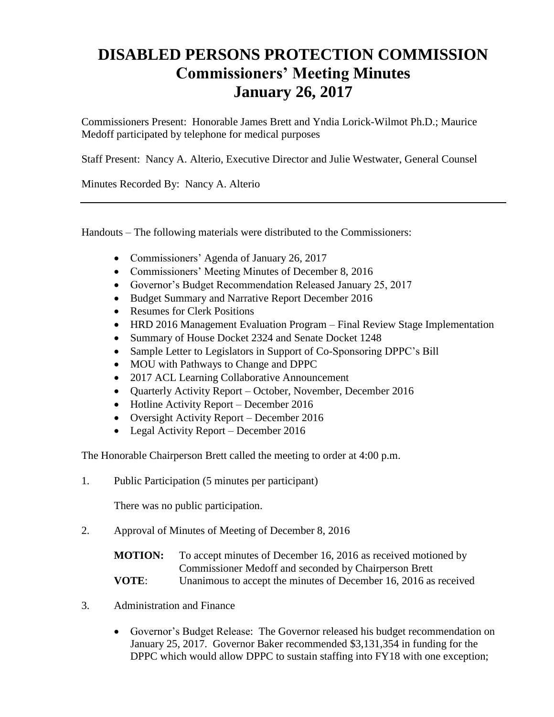## **DISABLED PERSONS PROTECTION COMMISSION Commissioners' Meeting Minutes January 26, 2017**

Commissioners Present: Honorable James Brett and Yndia Lorick-Wilmot Ph.D.; Maurice Medoff participated by telephone for medical purposes

Staff Present: Nancy A. Alterio, Executive Director and Julie Westwater, General Counsel

Minutes Recorded By: Nancy A. Alterio

Handouts – The following materials were distributed to the Commissioners:

- Commissioners' Agenda of January 26, 2017
- Commissioners' Meeting Minutes of December 8, 2016
- Governor's Budget Recommendation Released January 25, 2017
- Budget Summary and Narrative Report December 2016
- Resumes for Clerk Positions
- HRD 2016 Management Evaluation Program Final Review Stage Implementation
- Summary of House Docket 2324 and Senate Docket 1248
- Sample Letter to Legislators in Support of Co-Sponsoring DPPC's Bill
- MOU with Pathways to Change and DPPC
- 2017 ACL Learning Collaborative Announcement
- Quarterly Activity Report October, November, December 2016
- Hotline Activity Report December 2016
- Oversight Activity Report December 2016
- Legal Activity Report December 2016

The Honorable Chairperson Brett called the meeting to order at 4:00 p.m.

1. Public Participation (5 minutes per participant)

There was no public participation.

2. Approval of Minutes of Meeting of December 8, 2016

| <b>MOTION:</b> | To accept minutes of December 16, 2016 as received motioned by   |
|----------------|------------------------------------------------------------------|
|                | Commissioner Medoff and seconded by Chairperson Brett            |
| <b>VOTE:</b>   | Unanimous to accept the minutes of December 16, 2016 as received |

- 3. Administration and Finance
	- Governor's Budget Release: The Governor released his budget recommendation on January 25, 2017. Governor Baker recommended \$3,131,354 in funding for the DPPC which would allow DPPC to sustain staffing into FY18 with one exception;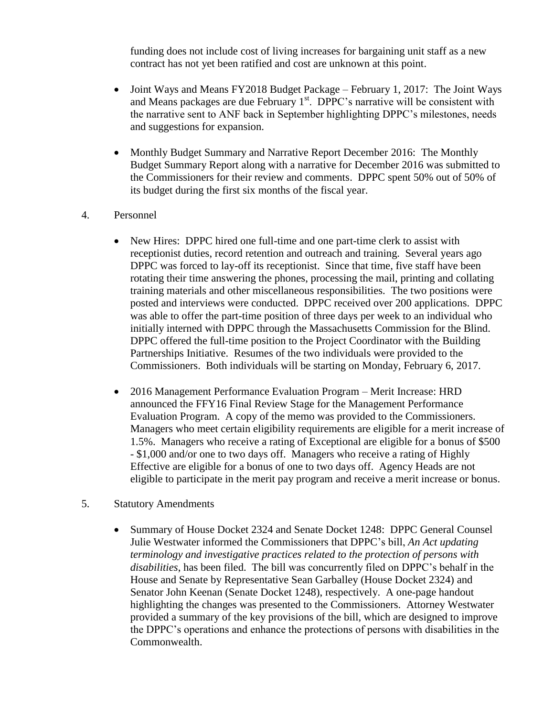funding does not include cost of living increases for bargaining unit staff as a new contract has not yet been ratified and cost are unknown at this point.

- Joint Ways and Means FY2018 Budget Package February 1, 2017: The Joint Ways and Means packages are due February  $1<sup>st</sup>$ . DPPC's narrative will be consistent with the narrative sent to ANF back in September highlighting DPPC's milestones, needs and suggestions for expansion.
- Monthly Budget Summary and Narrative Report December 2016: The Monthly Budget Summary Report along with a narrative for December 2016 was submitted to the Commissioners for their review and comments. DPPC spent 50% out of 50% of its budget during the first six months of the fiscal year.
- 4. Personnel
	- New Hires: DPPC hired one full-time and one part-time clerk to assist with receptionist duties, record retention and outreach and training. Several years ago DPPC was forced to lay-off its receptionist. Since that time, five staff have been rotating their time answering the phones, processing the mail, printing and collating training materials and other miscellaneous responsibilities. The two positions were posted and interviews were conducted. DPPC received over 200 applications. DPPC was able to offer the part-time position of three days per week to an individual who initially interned with DPPC through the Massachusetts Commission for the Blind. DPPC offered the full-time position to the Project Coordinator with the Building Partnerships Initiative. Resumes of the two individuals were provided to the Commissioners. Both individuals will be starting on Monday, February 6, 2017.
	- 2016 Management Performance Evaluation Program Merit Increase: HRD announced the FFY16 Final Review Stage for the Management Performance Evaluation Program. A copy of the memo was provided to the Commissioners. Managers who meet certain eligibility requirements are eligible for a merit increase of 1.5%. Managers who receive a rating of Exceptional are eligible for a bonus of \$500 - \$1,000 and/or one to two days off. Managers who receive a rating of Highly Effective are eligible for a bonus of one to two days off. Agency Heads are not eligible to participate in the merit pay program and receive a merit increase or bonus.
- 5. Statutory Amendments
	- Summary of House Docket 2324 and Senate Docket 1248: DPPC General Counsel Julie Westwater informed the Commissioners that DPPC's bill, *An Act updating terminology and investigative practices related to the protection of persons with disabilities*, has been filed. The bill was concurrently filed on DPPC's behalf in the House and Senate by Representative Sean Garballey (House Docket 2324) and Senator John Keenan (Senate Docket 1248), respectively. A one-page handout highlighting the changes was presented to the Commissioners. Attorney Westwater provided a summary of the key provisions of the bill, which are designed to improve the DPPC's operations and enhance the protections of persons with disabilities in the Commonwealth.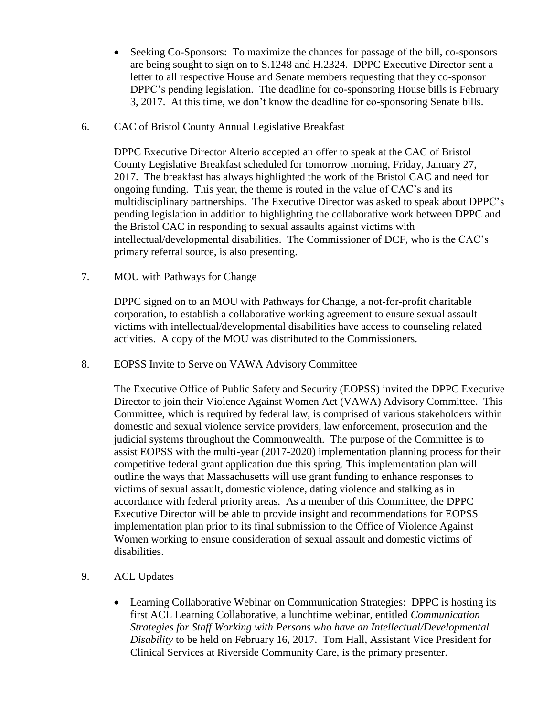- Seeking Co-Sponsors: To maximize the chances for passage of the bill, co-sponsors are being sought to sign on to S.1248 and H.2324. DPPC Executive Director sent a letter to all respective House and Senate members requesting that they co-sponsor DPPC's pending legislation. The deadline for co-sponsoring House bills is February 3, 2017. At this time, we don't know the deadline for co-sponsoring Senate bills.
- 6. CAC of Bristol County Annual Legislative Breakfast

DPPC Executive Director Alterio accepted an offer to speak at the CAC of Bristol County Legislative Breakfast scheduled for tomorrow morning, Friday, January 27, 2017. The breakfast has always highlighted the work of the Bristol CAC and need for ongoing funding. This year, the theme is routed in the value of CAC's and its multidisciplinary partnerships. The Executive Director was asked to speak about DPPC's pending legislation in addition to highlighting the collaborative work between DPPC and the Bristol CAC in responding to sexual assaults against victims with intellectual/developmental disabilities. The Commissioner of DCF, who is the CAC's primary referral source, is also presenting.

7. MOU with Pathways for Change

DPPC signed on to an MOU with Pathways for Change, a not-for-profit charitable corporation, to establish a collaborative working agreement to ensure sexual assault victims with intellectual/developmental disabilities have access to counseling related activities. A copy of the MOU was distributed to the Commissioners.

8. EOPSS Invite to Serve on VAWA Advisory Committee

The Executive Office of Public Safety and Security (EOPSS) invited the DPPC Executive Director to join their Violence Against Women Act (VAWA) Advisory Committee. This Committee, which is required by federal law, is comprised of various stakeholders within domestic and sexual violence service providers, law enforcement, prosecution and the judicial systems throughout the Commonwealth. The purpose of the Committee is to assist EOPSS with the multi-year (2017-2020) implementation planning process for their competitive federal grant application due this spring. This implementation plan will outline the ways that Massachusetts will use grant funding to enhance responses to victims of sexual assault, domestic violence, dating violence and stalking as in accordance with federal priority areas. As a member of this Committee, the DPPC Executive Director will be able to provide insight and recommendations for EOPSS implementation plan prior to its final submission to the Office of Violence Against Women working to ensure consideration of sexual assault and domestic victims of disabilities.

- 9. ACL Updates
	- Learning Collaborative Webinar on Communication Strategies: DPPC is hosting its first ACL Learning Collaborative, a lunchtime webinar, entitled *Communication Strategies for Staff Working with Persons who have an Intellectual/Developmental Disability* to be held on February 16, 2017. Tom Hall, Assistant Vice President for Clinical Services at Riverside Community Care, is the primary presenter.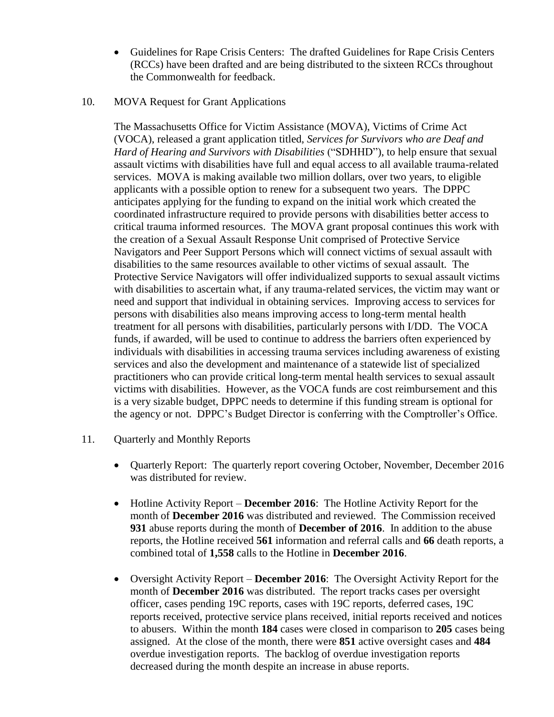Guidelines for Rape Crisis Centers: The drafted Guidelines for Rape Crisis Centers (RCCs) have been drafted and are being distributed to the sixteen RCCs throughout the Commonwealth for feedback.

## 10. MOVA Request for Grant Applications

The Massachusetts Office for Victim Assistance (MOVA), Victims of Crime Act (VOCA), released a grant application titled, *Services for Survivors who are Deaf and Hard of Hearing and Survivors with Disabilities* ("SDHHD"), to help ensure that sexual assault victims with disabilities have full and equal access to all available trauma-related services. MOVA is making available two million dollars, over two years, to eligible applicants with a possible option to renew for a subsequent two years. The DPPC anticipates applying for the funding to expand on the initial work which created the coordinated infrastructure required to provide persons with disabilities better access to critical trauma informed resources. The MOVA grant proposal continues this work with the creation of a Sexual Assault Response Unit comprised of Protective Service Navigators and Peer Support Persons which will connect victims of sexual assault with disabilities to the same resources available to other victims of sexual assault. The Protective Service Navigators will offer individualized supports to sexual assault victims with disabilities to ascertain what, if any trauma-related services, the victim may want or need and support that individual in obtaining services. Improving access to services for persons with disabilities also means improving access to long-term mental health treatment for all persons with disabilities, particularly persons with I/DD. The VOCA funds, if awarded, will be used to continue to address the barriers often experienced by individuals with disabilities in accessing trauma services including awareness of existing services and also the development and maintenance of a statewide list of specialized practitioners who can provide critical long-term mental health services to sexual assault victims with disabilities. However, as the VOCA funds are cost reimbursement and this is a very sizable budget, DPPC needs to determine if this funding stream is optional for the agency or not. DPPC's Budget Director is conferring with the Comptroller's Office.

- 11. Quarterly and Monthly Reports
	- Quarterly Report: The quarterly report covering October, November, December 2016 was distributed for review.
	- Hotline Activity Report **December 2016**: The Hotline Activity Report for the month of **December 2016** was distributed and reviewed. The Commission received **931** abuse reports during the month of **December of 2016**. In addition to the abuse reports, the Hotline received **561** information and referral calls and **66** death reports, a combined total of **1,558** calls to the Hotline in **December 2016**.
	- Oversight Activity Report **December 2016**: The Oversight Activity Report for the month of **December 2016** was distributed. The report tracks cases per oversight officer, cases pending 19C reports, cases with 19C reports, deferred cases, 19C reports received, protective service plans received, initial reports received and notices to abusers. Within the month **184** cases were closed in comparison to **205** cases being assigned. At the close of the month, there were **851** active oversight cases and **484** overdue investigation reports. The backlog of overdue investigation reports decreased during the month despite an increase in abuse reports.